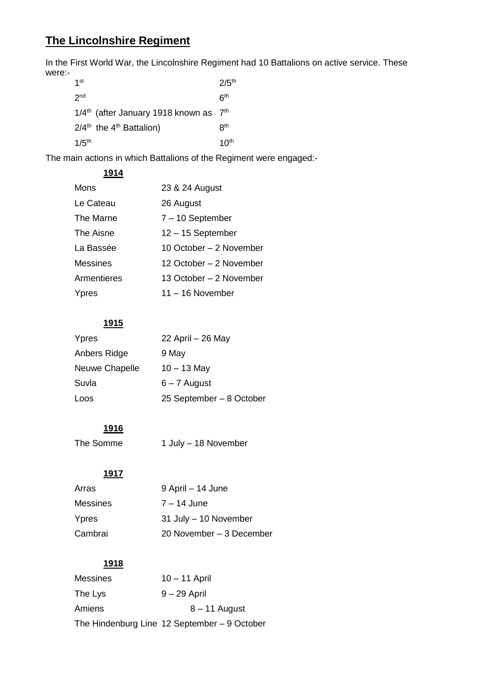# **The Lincolnshire Regiment**

In the First World War, the Lincolnshire Regiment had 10 Battalions on active service. These were:-

| 1 <sup>st</sup>                                                | $2/5$ <sup>th</sup> |
|----------------------------------------------------------------|---------------------|
| 2 <sub>nd</sub>                                                | ჩ <sup>th</sup>     |
| 1/4 <sup>th</sup> (after January 1918 known as 7 <sup>th</sup> |                     |
| $2/4th$ the 4 <sup>th</sup> Battalion)                         | R <sup>th</sup>     |
| $1/5$ <sup>th</sup>                                            | 10 <sup>th</sup>    |

The main actions in which Battalions of the Regiment were engaged:-

| 1914            |                         |
|-----------------|-------------------------|
| Mons            | 23 & 24 August          |
| Le Cateau       | 26 August               |
| The Marne       | $7 - 10$ September      |
| The Aisne       | $12 - 15$ September     |
| La Bassée       | 10 October - 2 November |
| <b>Messines</b> | 12 October - 2 November |
| Armentieres     | 13 October - 2 November |
| Ypres           | $11 - 16$ November      |

# **1915**

| Ypres          | 22 April - 26 May        |
|----------------|--------------------------|
| Anbers Ridge   | 9 May                    |
| Neuwe Chapelle | $10 - 13$ May            |
| Suvla          | $6 - 7$ August           |
| Loos           | 25 September - 8 October |

# **1916**

| The Somme | 1 July - 18 November |
|-----------|----------------------|
|-----------|----------------------|

# **1917**

| Arras           | 9 April – 14 June        |
|-----------------|--------------------------|
| <b>Messines</b> | $7 - 14$ June            |
| Ypres           | 31 July - 10 November    |
| Cambrai         | 20 November - 3 December |

# **1918**

| <b>Messines</b> | $10 - 11$ April                              |
|-----------------|----------------------------------------------|
| The Lys         | $9 - 29$ April                               |
| Amiens          | $8 - 11$ August                              |
|                 | The Hindenburg Line 12 September – 9 October |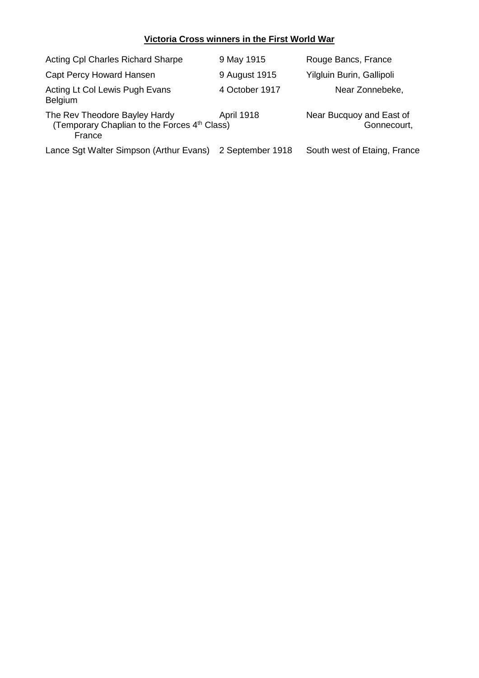## **Victoria Cross winners in the First World War**

| <b>Acting CpI Charles Richard Sharpe</b>                                                            | 9 May 1915        | Rouge Bancs, France                     |
|-----------------------------------------------------------------------------------------------------|-------------------|-----------------------------------------|
| Capt Percy Howard Hansen                                                                            | 9 August 1915     | Yilgluin Burin, Gallipoli               |
| Acting Lt Col Lewis Pugh Evans<br><b>Belgium</b>                                                    | 4 October 1917    | Near Zonnebeke,                         |
| The Rev Theodore Bayley Hardy<br>(Temporary Chaplian to the Forces 4 <sup>th</sup> Class)<br>France | <b>April 1918</b> | Near Bucquoy and East of<br>Gonnecourt, |
| Lance Sgt Walter Simpson (Arthur Evans)                                                             | 2 September 1918  | South west of Etaing, France            |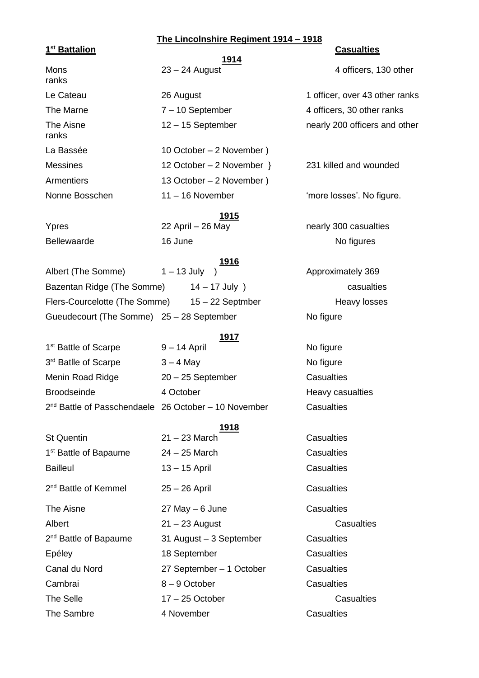## **The Lincolnshire Regiment 1914 – 1918**

### **1 st Battalion Casualties**

 **1914** ranks ranks

Le Cateau 26 August 1 officer, over 43 other ranks

La Bassée 10 October – 2 November ) Messines 12 October – 2 November } 231 killed and wounded Armentiers 13 October – 2 November ) Nonne Bosschen 11 – 16 November 'more losses'. No figure.

 **1915** Bellewaarde 16 June 16 June No figures

### **1916**

Albert (The Somme)  $1 - 13$  July  $1 - 13$  Approximately 369 Bazentan Ridge (The Somme)  $14 - 17$  July ) casualties Flers-Courcelotte (The Somme) 15 – 22 Septmber Heavy losses Gueudecourt (The Somme) 25 – 28 September No figure

#### **1917**

1<sup>st</sup> Battle of Scarpe 9 – 14 April 1<sup>st</sup> Battle of Scarpe 3<sup>rd</sup> Batlle of Scarpe 3 – 4 May No figure Menin Road Ridge 20 – 25 September Casualties Broodseinde **4 October** 4 October **Heavy casualties** 2<sup>nd</sup> Battle of Passchendaele 26 October - 10 November Casualties

# **1918**

1 st Battle of Bapaume 24 – 25 March Casualties Bailleul 13 – 15 April Casualties 2 nd Battle of Kemmel 25 – 26 April Casualties The Aisne 27 May – 6 June Casualties Albert 21 – 23 August 2014 Casualties 2<sup>nd</sup> Battle of Bapaume Epéley 18 September Casualties Canal du Nord 27 September – 1 October Casualties Cambrai 8 – 9 October Casualties The Selle 17 – 25 October Casualties

31 August – 3 September Casualties The Sambre **4 November Casualties** 

Mons 23 – 24 August 4 officers, 130 other

The Marne  $7 - 10$  September 4 officers, 30 other ranks The Aisne 12 – 15 September 12 – 15 September 12 – 15 September 12 – 15 September 12 – 15 September 12 – 15 September 12 – 15 September 12 – 15 September 12 – 15 September 12 – 15 September 12 – 15 September 12 – 15 Septem

Ypres 22 April – 26 May 1988 nearly 300 casualties

St Quentin 21 – 23 March Casualties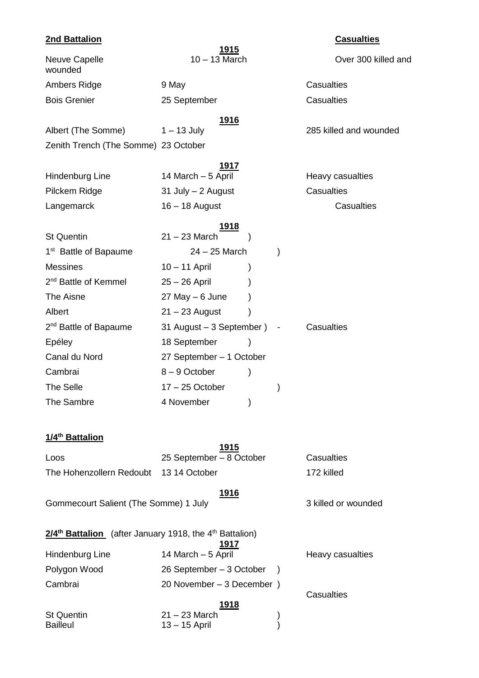| <b>2nd Battalion</b>                                                            |                                  |               |               | <b>Casualties</b>      |
|---------------------------------------------------------------------------------|----------------------------------|---------------|---------------|------------------------|
| <b>Neuve Capelle</b><br>wounded                                                 | $10 - 13$ March                  | <u>1915</u>   |               | Over 300 killed and    |
| Ambers Ridge                                                                    | 9 May                            |               |               | <b>Casualties</b>      |
| <b>Bois Grenier</b>                                                             | 25 September                     |               |               | Casualties             |
|                                                                                 |                                  | <u> 1916</u>  |               |                        |
| Albert (The Somme)                                                              | $1 - 13$ July                    |               |               | 285 killed and wounded |
| Zenith Trench (The Somme) 23 October                                            |                                  |               |               |                        |
|                                                                                 |                                  | <u> 1917</u>  |               |                        |
| Hindenburg Line                                                                 | 14 March - 5 April               |               |               | Heavy casualties       |
| Pilckem Ridge                                                                   | 31 July - 2 August               |               |               | Casualties             |
| Langemarck                                                                      | 16 - 18 August                   |               |               | Casualties             |
|                                                                                 |                                  | <u> 1918 </u> |               |                        |
| <b>St Quentin</b>                                                               | $21 - 23$ March                  |               |               |                        |
| 1 <sup>st</sup> Battle of Bapaume                                               | $24 - 25$ March                  |               | $\mathcal{E}$ |                        |
| <b>Messines</b>                                                                 | $10 - 11$ April                  |               |               |                        |
| 2 <sup>nd</sup> Battle of Kemmel                                                | $25 - 26$ April                  |               |               |                        |
| The Aisne                                                                       | $27$ May $-6$ June               |               |               |                        |
| Albert                                                                          | $21 - 23$ August                 |               |               |                        |
| 2 <sup>nd</sup> Battle of Bapaume                                               | 31 August - 3 September ) -      |               |               | Casualties             |
| Epéley                                                                          | 18 September                     |               |               |                        |
| Canal du Nord                                                                   | 27 September - 1 October         |               |               |                        |
| Cambrai                                                                         | 8-9 October                      | )             |               |                        |
| <b>The Selle</b>                                                                | $17 - 25$ October                |               |               |                        |
| The Sambre                                                                      | 4 November                       |               |               |                        |
| 1/4 <sup>th</sup> Battalion                                                     |                                  |               |               |                        |
| Loos                                                                            | 25 September - 8 October         | <u> 1915</u>  |               | <b>Casualties</b>      |
| The Hohenzollern Redoubt                                                        | 13 14 October                    |               |               | 172 killed             |
|                                                                                 |                                  |               |               |                        |
| Gommecourt Salient (The Somme) 1 July                                           |                                  | <u> 1916</u>  |               | 3 killed or wounded    |
| 2/4 <sup>th</sup> Battalion (after January 1918, the 4 <sup>th</sup> Battalion) |                                  | <u> 1917 </u> |               |                        |
| Hindenburg Line                                                                 | 14 March - 5 April               |               |               | Heavy casualties       |
| Polygon Wood                                                                    | 26 September - 3 October         |               | $\lambda$     |                        |
| Cambrai                                                                         | 20 November - 3 December )       |               |               |                        |
|                                                                                 |                                  | <u> 1918</u>  |               | <b>Casualties</b>      |
| <b>St Quentin</b><br><b>Bailleul</b>                                            | $21 - 23$ March<br>13 - 15 April |               |               |                        |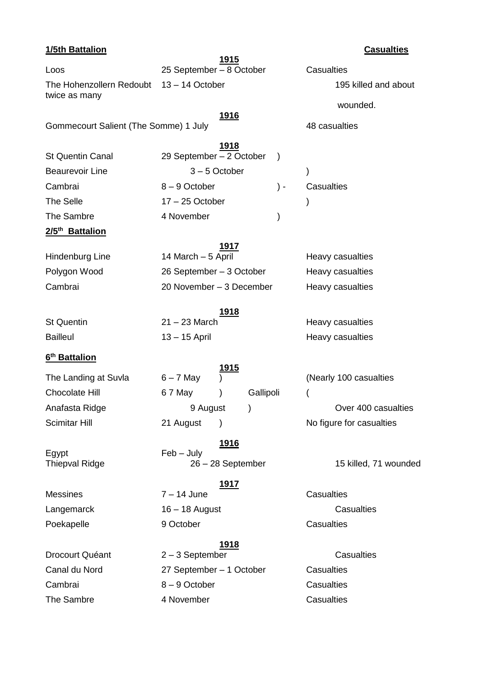# **1/5th Battalion Casualties 1915** Loos 25 September – 8 October Casualties The Hohenzollern Redoubt 13 – 14 October 195 killed and about twice as many wounded. **1916** Gommecourt Salient (The Somme) 1 July 48 casualties **1918** St Quentin Canal 29 September – 2 October ) Beaurevoir Line 3-5 October ) Cambrai 8 – 9 October ) - Casualties The Selle 17 – 25 October ) The Sambre **4 November** (1) **2/5th Battalion 1917** Hindenburg Line 14 March – 5 April  $\overline{P}$  Heavy casualties Polygon Wood 26 September – 3 October Heavy casualties Cambrai 20 November – 3 December Heavy casualties **1918** St Quentin 21 – 23 March Heavy casualties Bailleul 13 – 15 April Heavy casualties **6 th Battalion 1915** The Landing at Suvla  $6 - 7$  May  $)$  (Nearly 100 casualties Chocolate Hill 67 May (Gallipoli Anafasta Ridge **19 August 19 August** 1 Anafasta Ridge in the Security of August 2016 19 August 2016 Scimitar Hill 21 August ) No figure for casualties **1916** Egypt Feb – July Thiepval Ridge 26 – 28 September 15 killed, 71 wounded **1917**  $N$ essines  $7 - 14$  June  $\overline{1}$  Casualties Langemarck 16 – 18 August Casualties Poekapelle 9 October 9 9 October Casualties **1918**

# Drocourt Quéant 2 – 3 September Casualties Canal du Nord 27 September – 1 October Casualties Cambrai 8 – 9 October Casualties The Sambre **4 November Casualties**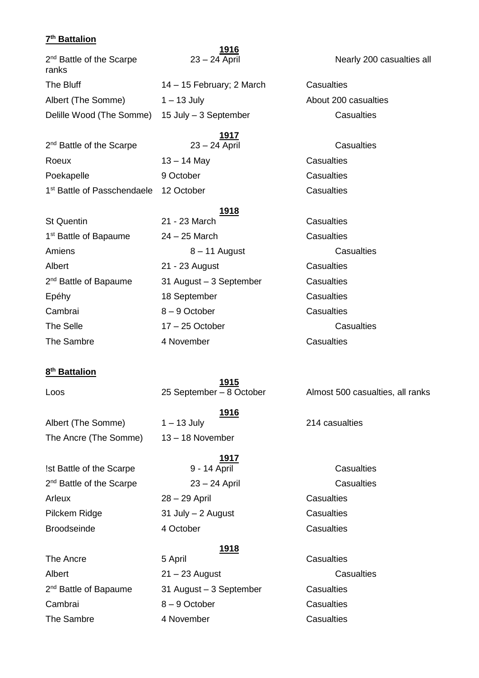## **7 th Battalion**

|                                               | 1916                      |            |
|-----------------------------------------------|---------------------------|------------|
| 2 <sup>nd</sup> Battle of the Scarpe<br>ranks | $23 - 24$ April           | Nea        |
| The Bluff                                     | 14 – 15 February; 2 March | Casualties |
| Albert (The Somme)                            | $1 - 13$ July             | About 200  |
| Delille Wood (The Somme)                      | 15 July - 3 September     | Cas        |
|                                               | 1917                      |            |
| 2 <sup>nd</sup> Battle of the Scarpe          | $23 - 24$ April           | Cas        |
| Roeux                                         | $13 - 14$ May             | Casualties |
| Poekapelle                                    | 9 October                 | Casualties |
| 1 <sup>st</sup> Battle of Passchendaele       | 12 October                | Casualties |

## **1918**

| <b>St Quentin</b>                 | 21 - 23 March           | Casualties |
|-----------------------------------|-------------------------|------------|
| 1 <sup>st</sup> Battle of Bapaume | $24 - 25$ March         | Casualties |
| Amiens                            | $8 - 11$ August         | Cas        |
| Albert                            | 21 - 23 August          | Casualties |
| 2 <sup>nd</sup> Battle of Bapaume | 31 August - 3 September | Casualties |
| Epéhy                             | 18 September            | Casualties |
| Cambrai                           | 8-9 October             | Casualties |
| The Selle                         | $17 - 25$ October       | Cas        |
| The Sambre                        | 4 November              | Casualties |

## **8 th Battalion**

**1915**

Albert (The Somme) 1 – 13 July 214 casualties The Ancre (The Somme) 13 – 18 November

!st Battle of the Scarpe 9 - 14 April Casualties 2<sup>nd</sup> Battle of the Scarpe 23 – 24 April 2011 Casualties Arleux 28 – 29 April Casualties Pilckem Ridge 31 July – 2 August Casualties Broodseinde 4 October Casualties

The Ancre **5 April** 5 April **Casualties** 2<sup>nd</sup> Battle of Bapaume

**1916**

**1917**

## **1918**

Albert 21 – 23 August 2014 Casualties 31 August – 3 September Casualties Cambrai 8 – 9 October Casualties The Sambre **4 November** 4 November **Casualties** 

Nearly 200 casualties all

200 casualties **Casualties** 

**Casualties** 

24 – 25 March Casualties 8 – 11 August Casualties 21 - 23 August Casualties 31 August – 3 September Casualties 18 September Casualties 8 – 9 October Casualties 17 – 25 October Casualties

Loos 25 September – 8 October Almost 500 casualties, all ranks